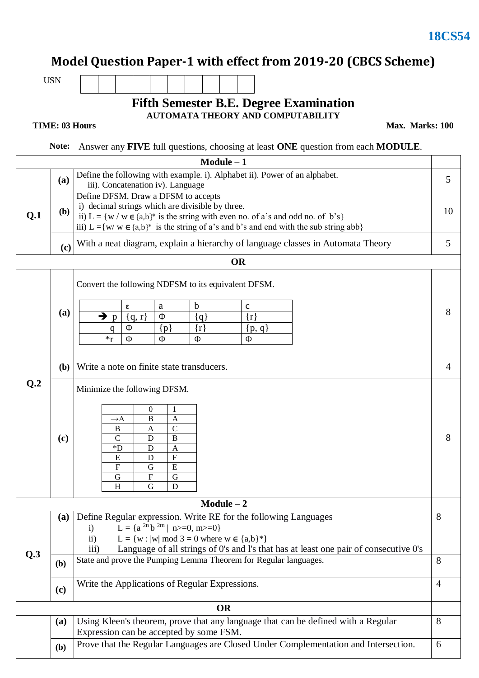## **Model Question Paper-1 with effect from 2019-20 (CBCS Scheme)**

USN

## **Fifth Semester B.E. Degree Examination AUTOMATA THEORY AND COMPUTABILITY**

## **TIME: 03 Hours**

**Max. Marks: 100**

 **Note:** Answer any **FIVE** full questions, choosing at least **ONE** question from each **MODULE**.

| $Module - 1$ |              |                                                                                                                                                                                                                                                                                                                                                                                     |                |  |  |
|--------------|--------------|-------------------------------------------------------------------------------------------------------------------------------------------------------------------------------------------------------------------------------------------------------------------------------------------------------------------------------------------------------------------------------------|----------------|--|--|
|              | (a)          | Define the following with example. i). Alphabet ii). Power of an alphabet.<br>iii). Concatenation iv). Language                                                                                                                                                                                                                                                                     |                |  |  |
| Q.1          | ( <b>b</b> ) | Define DFSM. Draw a DFSM to accepts<br>i) decimal strings which are divisible by three.<br>ii) L = { $w / w \in \{a,b\}^*$ is the string with even no. of a's and odd no. of b's}<br>iii) L ={w/ w $\in$ {a,b}* is the string of a's and b's and end with the sub string abb}                                                                                                       |                |  |  |
|              | (c)          | With a neat diagram, explain a hierarchy of language classes in Automata Theory                                                                                                                                                                                                                                                                                                     |                |  |  |
|              |              | <b>OR</b>                                                                                                                                                                                                                                                                                                                                                                           |                |  |  |
| Q.2          | (a)          | Convert the following NDFSM to its equivalent DFSM.<br>$\mathbf b$<br>$\mathbf{C}$<br>a<br>ε<br>→<br>Ф<br>$\{r\}$<br>${q, r}$<br>${q}$<br>$\mathbf{p}$<br>Ф<br>$\{r\}$<br>$\{p\}$<br>${p, q}$<br>q<br>$*_r$<br>Ф<br>Ф<br>Ф<br>Ф                                                                                                                                                     | 8              |  |  |
|              | <b>(b)</b>   | Write a note on finite state transducers.                                                                                                                                                                                                                                                                                                                                           | $\overline{4}$ |  |  |
|              | (c)          | Minimize the following DFSM.<br>$\boldsymbol{0}$<br>1<br>$\overline{B}$<br>$\overline{A}$<br>$\rightarrow$ A<br>$\overline{C}$<br>B<br>A<br>D<br>$\, {\bf B}$<br>$\mathbf C$<br>$\boldsymbol{D}^*$<br>D<br>$\mathbf{A}$<br>$\overline{F}$<br>${\bf E}$<br>D<br>$\overline{E}$<br>$\mathbf F$<br>$\mathbf G$<br>$\boldsymbol{\mathrm{F}}$<br>${\bf G}$<br>$\mathbf G$<br>D<br>H<br>G | 8              |  |  |
|              |              | $Module - 2$                                                                                                                                                                                                                                                                                                                                                                        |                |  |  |
| Q.3          |              | (a) Define Regular expression. Write RE for the following Languages<br>L = { $a^{2n}b^{2m}$   n>=0, m>=0}<br>$\mathbf{i}$<br>L = {w :  w  mod 3 = 0 where w $\in$ {a,b}*}<br>$\rm ii)$<br>Language of all strings of 0's and l's that has at least one pair of consecutive 0's<br>iii)                                                                                              |                |  |  |
|              | (b)          | State and prove the Pumping Lemma Theorem for Regular languages.                                                                                                                                                                                                                                                                                                                    |                |  |  |
|              | (c)          | Write the Applications of Regular Expressions.                                                                                                                                                                                                                                                                                                                                      |                |  |  |
| <b>OR</b>    |              |                                                                                                                                                                                                                                                                                                                                                                                     |                |  |  |
|              | (a)          | Using Kleen's theorem, prove that any language that can be defined with a Regular<br>8<br>Expression can be accepted by some FSM.                                                                                                                                                                                                                                                   |                |  |  |
|              | ( <b>b</b> ) | Prove that the Regular Languages are Closed Under Complementation and Intersection.<br>6                                                                                                                                                                                                                                                                                            |                |  |  |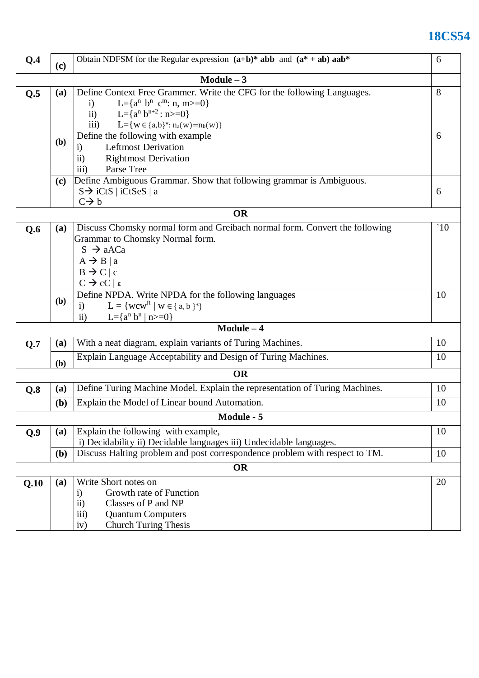## **18CS54**

| Q.4                                                        | (c)                                                                            | Obtain NDFSM for the Regular expression $(a+b)^*$ abb and $(a^* + ab)$ aab <sup>*</sup><br>6 |              |  |  |  |  |
|------------------------------------------------------------|--------------------------------------------------------------------------------|----------------------------------------------------------------------------------------------|--------------|--|--|--|--|
| Module $-3$                                                |                                                                                |                                                                                              |              |  |  |  |  |
| Q.5                                                        | Define Context Free Grammer. Write the CFG for the following Languages.<br>(a) |                                                                                              |              |  |  |  |  |
|                                                            |                                                                                | L={ $a^n$ b <sup>n</sup> c <sup>m</sup> : n, m>=0}<br>$\mathbf{i}$                           |              |  |  |  |  |
|                                                            |                                                                                | ii) L={ $a^n b^{n+2}$ : n>=0}<br>iii) $L = {w \in {a,b}^* : n_a(w) = n_b(w)}$                |              |  |  |  |  |
|                                                            |                                                                                |                                                                                              |              |  |  |  |  |
|                                                            | (b)                                                                            | Define the following with example<br><b>Leftmost Derivation</b>                              | 6            |  |  |  |  |
|                                                            |                                                                                | $\ddot{1}$                                                                                   |              |  |  |  |  |
|                                                            | <b>Rightmost Derivation</b><br>$\mathbf{ii}$<br>iii)<br>Parse Tree             |                                                                                              |              |  |  |  |  |
|                                                            | Define Ambiguous Grammar. Show that following grammar is Ambiguous.<br>(c)     |                                                                                              |              |  |  |  |  |
|                                                            | $S \rightarrow iCtS$   iCtSeS   a                                              |                                                                                              |              |  |  |  |  |
|                                                            |                                                                                | $C \rightarrow b$                                                                            | 6            |  |  |  |  |
| <b>OR</b>                                                  |                                                                                |                                                                                              |              |  |  |  |  |
| Q.6                                                        | <b>(a)</b>                                                                     | Discuss Chomsky normal form and Greibach normal form. Convert the following                  | $\degree$ 10 |  |  |  |  |
|                                                            |                                                                                | Grammar to Chomsky Normal form.                                                              |              |  |  |  |  |
|                                                            |                                                                                | $S \rightarrow aACa$                                                                         |              |  |  |  |  |
|                                                            |                                                                                | $A \rightarrow B   a$                                                                        |              |  |  |  |  |
|                                                            |                                                                                | $B \rightarrow C/c$<br>$C \rightarrow cC \mid \epsilon$                                      |              |  |  |  |  |
|                                                            | 10                                                                             |                                                                                              |              |  |  |  |  |
| Define NPDA. Write NPDA for the following languages<br>(b) |                                                                                | $L = \{wcw^R   w \in \{a, b\}^*\}$<br>$\mathbf{i}$                                           |              |  |  |  |  |
|                                                            |                                                                                | L={ $a^n b^n   n$ >=0}<br>$\mathbf{ii}$                                                      |              |  |  |  |  |
|                                                            |                                                                                | $Module - 4$                                                                                 |              |  |  |  |  |
| Q.7                                                        | (a)                                                                            | With a neat diagram, explain variants of Turing Machines.                                    | 10           |  |  |  |  |
|                                                            |                                                                                | Explain Language Acceptability and Design of Turing Machines.                                | 10           |  |  |  |  |
|                                                            | (b)                                                                            |                                                                                              |              |  |  |  |  |
|                                                            |                                                                                | <b>OR</b>                                                                                    |              |  |  |  |  |
| Q.8                                                        | (a)                                                                            | Define Turing Machine Model. Explain the representation of Turing Machines.                  | 10           |  |  |  |  |
|                                                            | ( <b>b</b> )                                                                   | Explain the Model of Linear bound Automation.                                                | 10           |  |  |  |  |
| Module - 5                                                 |                                                                                |                                                                                              |              |  |  |  |  |
| Q.9                                                        | <b>(a)</b>                                                                     | Explain the following with example,                                                          | 10           |  |  |  |  |
|                                                            |                                                                                | i) Decidability ii) Decidable languages iii) Undecidable languages.                          |              |  |  |  |  |
|                                                            | (b)                                                                            | Discuss Halting problem and post correspondence problem with respect to TM.                  | 10           |  |  |  |  |
|                                                            | <b>OR</b>                                                                      |                                                                                              |              |  |  |  |  |
| Q.10                                                       | <b>(a)</b>                                                                     | Write Short notes on                                                                         | 20           |  |  |  |  |
|                                                            |                                                                                | Growth rate of Function<br>$\ddot{1}$                                                        |              |  |  |  |  |
|                                                            |                                                                                | $\overline{11}$ )<br>Classes of P and NP                                                     |              |  |  |  |  |
|                                                            |                                                                                | iii)<br><b>Quantum Computers</b>                                                             |              |  |  |  |  |
|                                                            |                                                                                | <b>Church Turing Thesis</b><br>iv)                                                           |              |  |  |  |  |